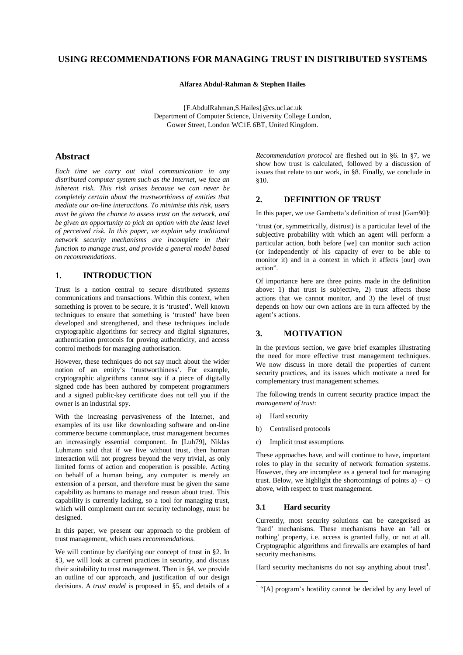# **USING RECOMMENDATIONS FOR MANAGING TRUST IN DISTRIBUTED SYSTEMS**

**Alfarez Abdul-Rahman & Stephen Hailes**

{F.AbdulRahman,S.Hailes}@cs.ucl.ac.uk Department of Computer Science, University College London, Gower Street, London WC1E 6BT, United Kingdom.

# **Abstract**

*Each time we carry out vital communication in any distributed computer system such as the Internet, we face an inherent risk. This risk arises because we can never be completely certain about the trustworthiness of entities that mediate our on-line interactions. To minimise this risk, users must be given the chance to assess trust on the network, and be given an opportunity to pick an option with the least level of perceived risk. In this paper, we explain why traditional network security mechanisms are incomplete in their function to manage trust, and provide a general model based on recommendations.*

# **1. INTRODUCTION**

Trust is a notion central to secure distributed systems communications and transactions. Within this context, when something is proven to be secure, it is 'trusted'. Well known techniques to ensure that something is 'trusted' have been developed and strengthened, and these techniques include cryptographic algorithms for secrecy and digital signatures, authentication protocols for proving authenticity, and access control methods for managing authorisation.

However, these techniques do not say much about the wider notion of an entity's 'trustworthiness'. For example, cryptographic algorithms cannot say if a piece of digitally signed code has been authored by competent programmers and a signed public-key certificate does not tell you if the owner is an industrial spy.

With the increasing pervasiveness of the Internet, and examples of its use like downloading software and on-line commerce become commonplace, trust management becomes an increasingly essential component. In [Luh79], Niklas Luhmann said that if we live without trust, then human interaction will not progress beyond the very trivial, as only limited forms of action and cooperation is possible. Acting on behalf of a human being, any computer is merely an extension of a person, and therefore must be given the same capability as humans to manage and reason about trust. This capability is currently lacking, so a tool for managing trust, which will complement current security technology, must be designed.

In this paper, we present our approach to the problem of trust management, which uses *recommendations*.

We will continue by clarifying our concept of trust in §2. In §3, we will look at current practices in security, and discuss their suitability to trust management. Then in §4, we provide an outline of our approach, and justification of our design decisions. A *trust model* is proposed in §5, and details of a

*Recommendation protocol* are fleshed out in §6. In §7, we show how trust is calculated, followed by a discussion of issues that relate to our work, in §8. Finally, we conclude in §10.

## **2. DEFINITION OF TRUST**

In this paper, we use Gambetta's definition of trust [Gam90]:

"trust (or, symmetrically, distrust) is a particular level of the subjective probability with which an agent will perform a particular action, both before [we] can monitor such action (or independently of his capacity of ever to be able to monitor it) and in a context in which it affects [our] own action".

Of importance here are three points made in the definition above: 1) that trust is subjective, 2) trust affects those actions that we cannot monitor, and 3) the level of trust depends on how our own actions are in turn affected by the agent's actions.

#### **3. MOTIVATION**

In the previous section, we gave brief examples illustrating the need for more effective trust management techniques. We now discuss in more detail the properties of current security practices, and its issues which motivate a need for complementary trust management schemes.

The following trends in current security practice impact the *management of trust*:

- a) Hard security
- b) Centralised protocols
- c) Implicit trust assumptions

These approaches have, and will continue to have, important roles to play in the security of network formation systems. However, they are incomplete as a general tool for managing trust. Below, we highlight the shortcomings of points  $a$ ) – c) above, with respect to trust management.

#### **3.1 Hard security**

Currently, most security solutions can be categorised as 'hard' mechanisms. These mechanisms have an 'all or nothing' property, i.e. access is granted fully, or not at all. Cryptographic algorithms and firewalls are examples of hard security mechanisms.

Hard security mechanisms do not say anything about trust<sup>1</sup>.

<sup>|&</sup>lt;br>|  $<sup>1</sup>$  "[A] program's hostility cannot be decided by any level of</sup>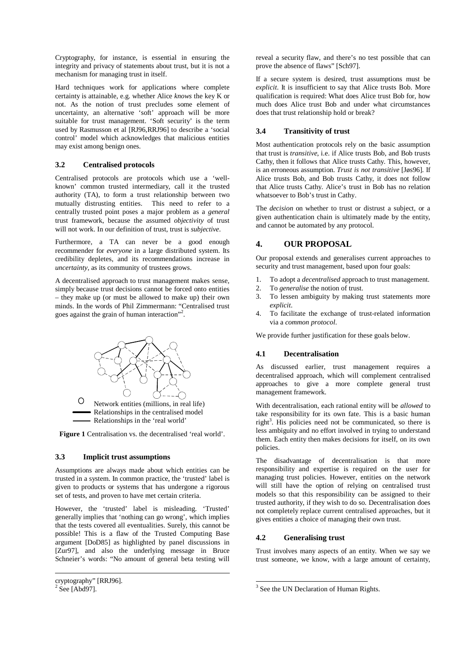Cryptography, for instance, is essential in ensuring the integrity and privacy of statements about trust, but it is not a mechanism for managing trust in itself.

Hard techniques work for applications where complete certainty is attainable, e.g. whether Alice *knows* the key K or not. As the notion of trust precludes some element of uncertainty, an alternative 'soft' approach will be more suitable for trust management. 'Soft security' is the term used by Rasmusson et al [RJ96,RRJ96] to describe a 'social control' model which acknowledges that malicious entities may exist among benign ones.

## **3.2 Centralised protocols**

Centralised protocols are protocols which use a 'wellknown' common trusted intermediary, call it the trusted authority (TA), to form a trust relationship between two mutually distrusting entities. This need to refer to a centrally trusted point poses a major problem as a *general* trust framework, because the assumed *objectivity* of trust will not work. In our definition of trust, trust is *subjective*.

Furthermore, a TA can never be a good enough recommender for *everyone* in a large distributed system. Its credibility depletes, and its recommendations increase in *uncertainty*, as its community of trustees grows.

A decentralised approach to trust management makes sense, simply because trust decisions cannot be forced onto entities – they make up (or must be allowed to make up) their own minds. In the words of Phil Zimmermann: "Centralised trust goes against the grain of human interaction"<sup>2</sup>.



Figure 1 Centralisation vs. the decentralised 'real world'.

#### **3.3 Implicit trust assumptions**

Assumptions are always made about which entities can be trusted in a system. In common practice, the 'trusted' label is given to products or systems that has undergone a rigorous set of tests, and proven to have met certain criteria.

However, the 'trusted' label is misleading. 'Trusted' generally implies that 'nothing can go wrong', which implies that the tests covered all eventualities. Surely, this cannot be possible! This is a flaw of the Trusted Computing Base argument [DoD85] as highlighted by panel discussions in [Zur97], and also the underlying message in Bruce Schneier's words: "No amount of general beta testing will

 $\overline{a}$ 

reveal a security flaw, and there's no test possible that can prove the absence of flaws" [Sch97].

If a secure system is desired, trust assumptions must be *explicit*. It is insufficient to say that Alice trusts Bob. More qualification is required: What does Alice trust Bob for, how much does Alice trust Bob and under what circumstances does that trust relationship hold or break?

## **3.4 Transitivity of trust**

Most authentication protocols rely on the basic assumption that trust is *transitive*, i.e. if Alice trusts Bob, and Bob trusts Cathy, then it follows that Alice trusts Cathy. This, however, is an erroneous assumption. *Trust is not transitive* [Jøs96]. If Alice trusts Bob, and Bob trusts Cathy, it does not follow that Alice trusts Cathy. Alice's trust in Bob has no relation whatsoever to Bob's trust in Cathy.

The *decision* on whether to trust or distrust a subject, or a given authentication chain is ultimately made by the entity, and cannot be automated by any protocol.

# **4. OUR PROPOSAL**

Our proposal extends and generalises current approaches to security and trust management, based upon four goals:

- 1. To adopt a *decentralised* approach to trust management.
- 2. To *generalise* the notion of trust.
- 3. To lessen ambiguity by making trust statements more *explicit*.
- 4. To facilitate the exchange of trust-related information via a *common protocol*.

We provide further justification for these goals below.

## **4.1 Decentralisation**

As discussed earlier, trust management requires a decentralised approach, which will complement centralised approaches to give a more complete general trust management framework.

With decentralisation, each rational entity will be *allowed* to take responsibility for its own fate. This is a basic human right<sup>3</sup>. His policies need not be communicated, so there is less ambiguity and no effort involved in trying to understand them. Each entity then makes decisions for itself, on its own policies.

The disadvantage of decentralisation is that more responsibility and expertise is required on the user for managing trust policies. However, entities on the network will still have the option of relying on centralised trust models so that this responsibility can be assigned to their trusted authority, if they wish to do so. Decentralisation does not completely replace current centralised approaches, but it gives entities a choice of managing their own trust.

## **4.2 Generalising trust**

Trust involves many aspects of an entity. When we say we trust someone, we know, with a large amount of certainty,

cryptography" [RRJ96].<br><sup>2</sup> See [Abd97].

<sup>&</sup>lt;sup>3</sup> See the UN Declaration of Human Rights.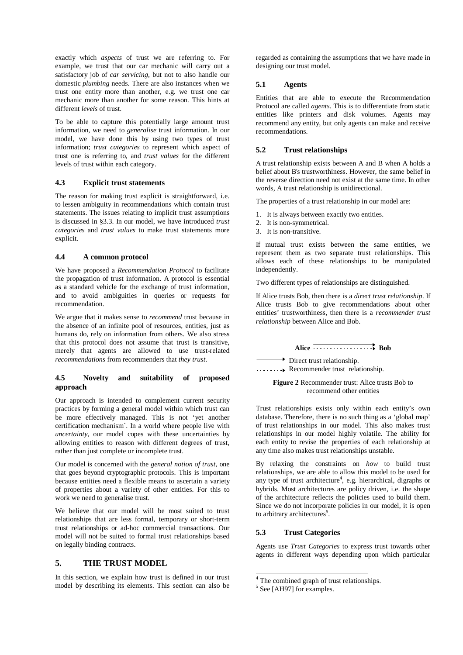exactly which *aspects* of trust we are referring to. For example, we trust that our car mechanic will carry out a satisfactory job of *car servicing*, but not to also handle our domestic *plumbing* needs. There are also instances when we trust one entity more than another, e.g. we trust one car mechanic more than another for some reason. This hints at different *levels* of trust.

To be able to capture this potentially large amount trust information, we need to *generalise* trust information. In our model, we have done this by using two types of trust information; *trust categories* to represent which aspect of trust one is referring to, and *trust values* for the different levels of trust within each category.

#### **4.3 Explicit trust statements**

The reason for making trust explicit is straightforward, i.e. to lessen ambiguity in recommendations which contain trust statements. The issues relating to implicit trust assumptions is discussed in §3.3. In our model, we have introduced *trust categories* and *trust values* to make trust statements more explicit.

#### **4.4 A common protocol**

We have proposed a *Recommendation Protocol* to facilitate the propagation of trust information. A protocol is essential as a standard vehicle for the exchange of trust information, and to avoid ambiguities in queries or requests for recommendation.

We argue that it makes sense to *recommend* trust because in the absence of an infinite pool of resources, entities, just as humans do, rely on information from others. We also stress that this protocol does not assume that trust is transitive, merely that agents are allowed to use trust-related *recommendations* from recommenders that *they trust*.

## **4.5 Novelty and suitability of proposed approach**

Our approach is intended to complement current security practices by forming a general model within which trust can be more effectively managed. This is not 'yet another certification mechanism`. In a world where people live with *uncertainty*, our model copes with these uncertainties by allowing entities to reason with different degrees of trust, rather than just complete or incomplete trust.

Our model is concerned with the *general notion of trust*, one that goes beyond cryptographic protocols. This is important because entities need a flexible means to ascertain a variety of properties about a variety of other entities. For this to work we need to generalise trust.

We believe that our model will be most suited to trust relationships that are less formal, temporary or short-term trust relationships or ad-hoc commercial transactions. Our model will not be suited to formal trust relationships based on legally binding contracts.

## **5. THE TRUST MODEL**

In this section, we explain how trust is defined in our trust model by describing its elements. This section can also be regarded as containing the assumptions that we have made in designing our trust model.

#### **5.1 Agents**

Entities that are able to execute the Recommendation Protocol are called *agents*. This is to differentiate from static entities like printers and disk volumes. Agents may recommend any entity, but only agents can make and receive recommendations.

#### **5.2 Trust relationships**

A trust relationship exists between A and B when A holds a belief about B's trustworthiness. However, the same belief in the reverse direction need not exist at the same time. In other words, A trust relationship is unidirectional.

The properties of a trust relationship in our model are:

- 1. It is always between exactly two entities.
- 2. It is non-symmetrical.
- 3. It is non-transitive.

If mutual trust exists between the same entities, we represent them as two separate trust relationships. This allows each of these relationships to be manipulated independently.

Two different types of relationships are distinguished.

If Alice trusts Bob, then there is a *direct trust relationship*. If Alice trusts Bob to give recommendations about other entities' trustworthiness, then there is a *recommender trust relationship* between Alice and Bob.

#### Alice Bob

 $\rightarrow$  Direct trust relationship. **Recommender trust relationship.** 

#### **Figure 2** Recommender trust: Alice trusts Bob to recommend other entities

Trust relationships exists only within each entity's own database. Therefore, there is no such thing as a 'global map' of trust relationships in our model. This also makes trust relationships in our model highly volatile. The ability for each entity to revise the properties of each relationship at any time also makes trust relationships unstable.

By relaxing the constraints on *how* to build trust relationships, we are able to allow this model to be used for any type of trust architecture<sup>4</sup>, e.g. hierarchical, digraphs or hybrids. Most architectures are policy driven, i.e. the shape of the architecture reflects the policies used to build them. Since we do not incorporate policies in our model, it is open to arbitrary architectures<sup>5</sup>.

# **5.3 Trust Categories**

Agents use *Trust Categories* to express trust towards other agents in different ways depending upon which particular

 <sup>4</sup> The combined graph of trust relationships.

<sup>&</sup>lt;sup>5</sup> See [AH97] for examples.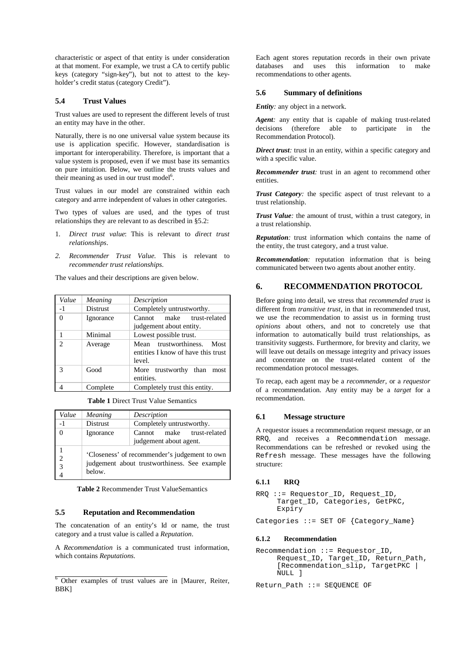characteristic or aspect of that entity is under consideration at that moment. For example, we trust a CA to certify public keys (category "sign-key"), but not to attest to the keyholder's credit status (category Credit").

#### **5.4 Trust Values**

Trust values are used to represent the different levels of trust an entity may have in the other.

Naturally, there is no one universal value system because its use is application specific. However, standardisation is important for interoperability. Therefore, is important that a value system is proposed, even if we must base its semantics on pure intuition. Below, we outline the trusts values and their meaning as used in our trust model<sup>6</sup>.

Trust values in our model are constrained within each category and arrre independent of values in other categories.

Two types of values are used, and the types of trust relationships they are relevant to as described in §5.2:

- 1. *Direct trust value*: This is relevant to *direct trust relationships*.
- *2. Recommender Trust Value*. This is relevant to *recommender trust relationships.*

The values and their descriptions are given below.

| Value    | Meaning         | Description                                                                      |
|----------|-----------------|----------------------------------------------------------------------------------|
| $-1$     | <b>Distrust</b> | Completely untrustworthy.                                                        |
| $\Omega$ | Ignorance       | make trust-related<br>Cannot<br>judgement about entity.                          |
|          | Minimal         | Lowest possible trust.                                                           |
| っ        | Average         | trustworthiness.<br>Most<br>Mean<br>entities I know of have this trust<br>level. |
| 3        | Good            | More trustworthy than<br>most<br>entities.                                       |
|          | Complete        | Completely trust this entity.                                                    |

**Table 1** Direct Trust Value Semantics

| Value              | Meaning                                                                                                 | Description                  |
|--------------------|---------------------------------------------------------------------------------------------------------|------------------------------|
|                    | <b>Distrust</b>                                                                                         | Completely untrustworthy.    |
| $\Omega$           | Ignorance                                                                                               | make trust-related<br>Cannot |
|                    |                                                                                                         | judgement about agent.       |
| $\mathcal{D}$<br>3 | 'Closeness' of recommender's judgement to own<br>judgement about trustworthiness. See example<br>below. |                              |

**Table 2** Recommender Trust ValueSemantics

#### **5.5 Reputation and Recommendation**

The concatenation of an entity's Id or name, the trust category and a trust value is called a *Reputation*.

A *Recommendation* is a communicated trust information, which contains *Reputations.*

Each agent stores reputation records in their own private databases and uses this information to make recommendations to other agents.

#### **5.6 Summary of definitions**

#### *Entity:* any object in a network.

*Agent:* any entity that is capable of making trust-related decisions (therefore able to participate in the Recommendation Protocol).

*Direct trust:* trust in an entity, within a specific category and with a specific value.

*Recommender trust:* trust in an agent to recommend other entities.

*Trust Category:* the specific aspect of trust relevant to a trust relationship.

*Trust Value:* the amount of trust, within a trust category, in a trust relationship.

*Reputation:* trust information which contains the name of the entity, the trust category, and a trust value.

*Recommendation:* reputation information that is being communicated between two agents about another entity.

# **6. RECOMMENDATION PROTOCOL**

Before going into detail, we stress that *recommended trust* is different from *transitive trust*, in that in recommended trust, we use the recommendation to assist us in forming trust *opinions* about others, and not to concretely use that information to automatically build trust relationships, as transitivity suggests. Furthermore, for brevity and clarity, we will leave out details on message integrity and privacy issues and concentrate on the trust-related content of the recommendation protocol messages.

To recap, each agent may be a *recommender*, or a *requestor* of a recommendation. Any entity may be a *target* for a recommendation.

#### **6.1 Message structure**

A requestor issues a recommendation request message, or an RRQ, and receives a Recommendation message. Recommendations can be refreshed or revoked using the Refresh message. These messages have the following structure:

#### **6.1.1 RRQ**

```
RRQ ::= Requestor_ID, Request_ID,
Target_ID, Categories, GetPKC,
Expiry
```
Categories ::= SET OF {Category\_Name}

#### **6.1.2 Recommendation**

Recommendation ::= Requestor\_ID, Request\_ID, Target\_ID, Return\_Path, [Recommendation\_slip, TargetPKC | NULL ]

Return\_Path ::= SEQUENCE OF

<sup>&</sup>lt;sup>6</sup> Other examples of trust values are in [Maurer, Reiter, BBK]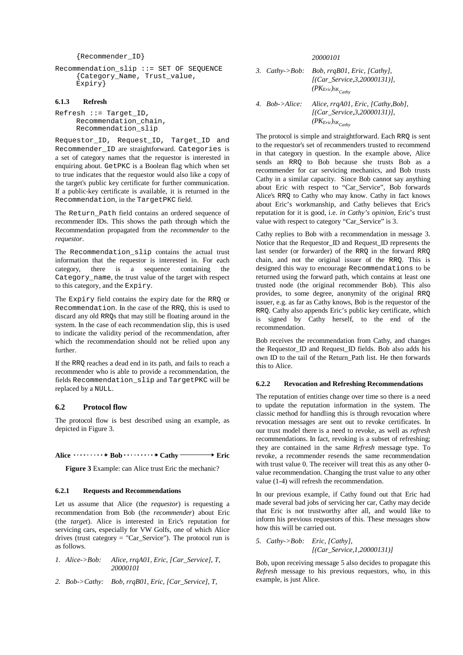```
{Recommender_ID}
```

```
Recommendation_slip ::= SET OF SEQUENCE
{Category_Name, Trust_value,
Expiry}
```
#### **6.1.3 Refresh**

Refresh ::= Target\_ID, Recommendation\_chain, Recommendation\_slip

Requestor\_ID, Request\_ID, Target\_ID and Recommender\_ID are straightforward. Categories is a set of category names that the requestor is interested in enquiring about. GetPKC is a Boolean flag which when set to true indicates that the requestor would also like a copy of the target's public key certificate for further communication. If a public-key certificate is available, it is returned in the Recommendation, in the TargetPKC field.

The Return\_Path field contains an ordered sequence of recommender IDs. This shows the path through which the Recommendation propagated from the *recommender* to the *requestor*.

The Recommendation\_slip contains the actual trust information that the requestor is interested in. For each category, there is a sequence containing the Category\_name, the trust value of the target with respect to this category, and the Expiry.

The Expiry field contains the expiry date for the RRQ or Recommendation. In the case of the RRQ, this is used to discard any old RRQs that may still be floating around in the system. In the case of each recommendation slip, this is used to indicate the validity period of the recommendation, after which the recommendation should not be relied upon any further.

If the RRQ reaches a dead end in its path, and fails to reach a recommender who is able to provide a recommendation, the fields Recommendation\_slip and TargetPKC will be replaced by a NULL.

## **6.2 Protocol flow**

The protocol flow is best described using an example, as depicted in Figure 3.

Alice  $\cdots \cdots \rightarrow$  Bob  $\cdots \cdots \rightarrow$  Cathy  $\cdots \rightarrow$  Eric

**Figure 3** Example: can Alice trust Eric the mechanic?

#### **6.2.1 Requests and Recommendations**

Let us assume that Alice (the *requestor*) is requesting a recommendation from Bob (the *recommender*) about Eric (the *target*). Alice is interested in Eric's reputation for servicing cars, especially for VW Golfs, one of which Alice drives (trust category = "Car\_Service"). The protocol run is as follows.

| 1. Alice->Bob: | Alice, rrgA01, Eric, [Car Service], T. |
|----------------|----------------------------------------|
|                | 20000101                               |

*2. Bob->Cathy: Bob, rrqB01, Eric, [Car\_Service], T,*

*20000101*

- *3. Cathy->Bob: Bob, rrqB01, Eric, [Cathy], [(Car\_Service,3,20000131)],*  $(PK_{Eric})_{SK_{Cathy}}$
- *4. Bob->Alice: Alice, rrqA01, Eric, [Cathy,Bob], [(Car\_Service,3,20000131)],*  $(PK_{Eric})_{SK_{Cathv}}$

The protocol is simple and straightforward. Each RRQ is sent to the requestor's set of recommenders trusted to recommend in that category in question. In the example above, Alice sends an RRQ to Bob because she trusts Bob as a recommender for car servicing mechanics, and Bob trusts Cathy in a similar capacity. Since Bob cannot say anything about Eric with respect to "Car\_Service", Bob forwards Alice's RRQ to Cathy who may know. Cathy in fact knows about Eric's workmanship, and Cathy believes that Eric's reputation for it is good, i.e. *in Cathy's opinion*, Eric's trust value with respect to category "Car\_Service" is 3.

Cathy replies to Bob with a recommendation in message 3. Notice that the Requestor\_ID and Request\_ID represents the last sender (or forwarder) of the RRQ in the forward RRQ chain, and not the original issuer of the RRQ. This is designed this way to encourage Recommendations to be returned using the forward path, which contains at least one trusted node (the original recommender Bob). This also provides, to some degree, anonymity of the original RRQ issuer, e.g. as far as Cathy knows, Bob is the requestor of the RRQ. Cathy also appends Eric's public key certificate, which is signed by Cathy herself, to the end of the recommendation.

Bob receives the recommendation from Cathy, and changes the Requestor\_ID and Request\_ID fields. Bob also adds his own ID to the tail of the Return\_Path list. He then forwards this to Alice.

#### **6.2.2 Revocation and Refreshing Recommendations**

The reputation of entities change over time so there is a need to update the reputation information in the system. The classic method for handling this is through revocation where revocation messages are sent out to revoke certificates. In our trust model there is a need to revoke, as well as *refresh* recommendations. In fact, revoking is a subset of refreshing; they are contained in the same *Refresh* message type. To revoke, a recommender resends the same recommendation with trust value 0. The receiver will treat this as any other 0 value recommendation. Changing the trust value to any other value (1-4) will refresh the recommendation.

In our previous example, if Cathy found out that Eric had made several bad jobs of servicing her car, Cathy may decide that Eric is not trustworthy after all, and would like to inform his previous requestors of this. These messages show how this will be carried out.

```
5. Cathy->Bob: Eric, [Cathy],
            [(Car_Service,1,20000131)]
```
Bob, upon receiving message 5 also decides to propagate this *Refresh* message to his previous requestors, who, in this example, is just Alice.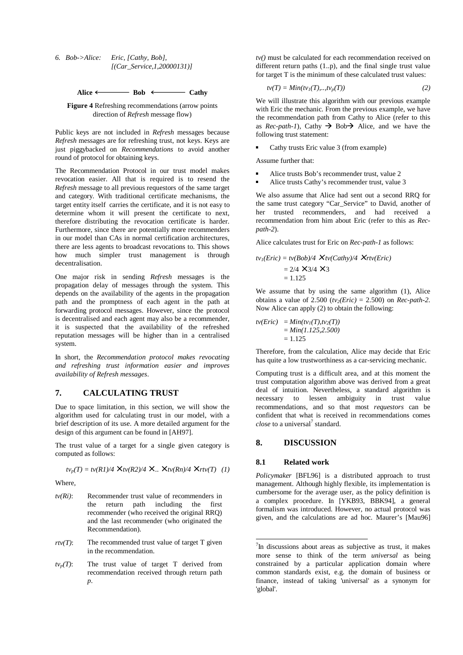*6. Bob->Alice: Eric, [Cathy, Bob], [(Car\_Service,1,20000131)]*



**Figure 4** Refreshing recommendations (arrow points direction of *Refresh* message flow)

Public keys are not included in *Refresh* messages because *Refresh* messages are for refreshing trust, not keys. Keys are just piggybacked on *Recommendations* to avoid another round of protocol for obtaining keys.

The Recommendation Protocol in our trust model makes revocation easier. All that is required is to resend the *Refresh* message to all previous requestors of the same target and category. With traditional certificate mechanisms, the target entity itself carries the certificate, and it is not easy to determine whom it will present the certificate to next, therefore distributing the revocation certificate is harder. Furthermore, since there are potentially more recommenders in our model than CAs in normal certification architectures, there are less agents to broadcast revocations to. This shows how much simpler trust management is through decentralisation.

One major risk in sending *Refresh* messages is the propagation delay of messages through the system. This depends on the availability of the agents in the propagation path and the promptness of each agent in the path at forwarding protocol messages. However, since the protocol is decentralised and each agent may also be a recommender, it is suspected that the availability of the refreshed reputation messages will be higher than in a centralised system.

In short, the *Recommendation protocol makes revocating and refreshing trust information easier and improves availability of Refresh messages*.

## **7. CALCULATING TRUST**

Due to space limitation, in this section, we will show the algorithm used for calculating trust in our model, with a brief description of its use. A more detailed argument for the design of this argument can be found in [AH97].

The trust value of a target for a single given category is computed as follows:

 $t v_p(T) = t v(R1)/4 \times t v(R2)/4 \times ... \times t v(Rn)/4 \times r t v(T)$  (1)

Where,

- *tv(Ri)*: Recommender trust value of recommenders in the return path including the first recommender (who received the original RRQ) and the last recommender (who originated the Recommendation).
- $rtv(T)$ : The recommended trust value of target T given in the recommendation.
- $t v_p(T)$ : The trust value of target T derived from recommendation received through return path *p*.

*tv()* must be calculated for each recommendation received on different return paths (1..p), and the final single trust value for target T is the minimum of these calculated trust values:

$$
tv(T) = Min(tv_1(T),...,tv_p(T))
$$
\n(2)

We will illustrate this algorithm with our previous example with Eric the mechanic. From the previous example, we have the recommendation path from Cathy to Alice (refer to this as *Rec-path-1*), Cathy  $\rightarrow$  Bob $\rightarrow$  Alice, and we have the following trust statement:

-Cathy trusts Eric value 3 (from example)

Assume further that:

- -Alice trusts Bob's recommender trust, value 2
- -Alice trusts Cathy's recommender trust, value 3

We also assume that Alice had sent out a second RRQ for the same trust category "Car\_Service" to David, another of her trusted recommenders, and had received a recommendation from him about Eric (refer to this as *Recpath-2*).

Alice calculates trust for Eric on *Rec-path-1* as follows:

$$
tv_1(Eric) = tv(Bob)/4 \times tv(Cathy)/4 \times rtv(Eric)
$$
  
= 2/4 × 3/4 × 3  
= 1.125

We assume that by using the same algorithm (1), Alice obtains a value of 2.500  $(tv_2(Eric) = 2.500)$  on *Rec-path-2*. Now Alice can apply (2) to obtain the following:

$$
tv(Eric) = Min(tv1(T), tv2(T))
$$
  
= Min(1.125,2.500)  
= 1.125

Therefore, from the calculation, Alice may decide that Eric has quite a low trustworthiness as a car-servicing mechanic.

Computing trust is a difficult area, and at this moment the trust computation algorithm above was derived from a great deal of intuition. Nevertheless, a standard algorithm is necessary to lessen ambiguity in trust value necessary to lessen ambiguity in trust recommendations, and so that most *requestors* can be confident that what is received in recommendations comes *close* to a universal<sup>7</sup> standard.

## **8. DISCUSSION**

#### **8.1 Related work**

*Policymaker* [BFL96] is a distributed approach to trust management. Although highly flexible, its implementation is cumbersome for the average user, as the policy definition is a complex procedure. In [YKB93, BBK94], a general formalism was introduced. However, no actual protocol was given, and the calculations are ad hoc. Maurer's [Mau96]

 <sup>7</sup> In discussions about areas as subjective as trust, it makes more sense to think of the term *universal* as being constrained by a particular application domain where common standards exist, e.g. the domain of business or finance, instead of taking 'universal' as a synonym for 'global'.